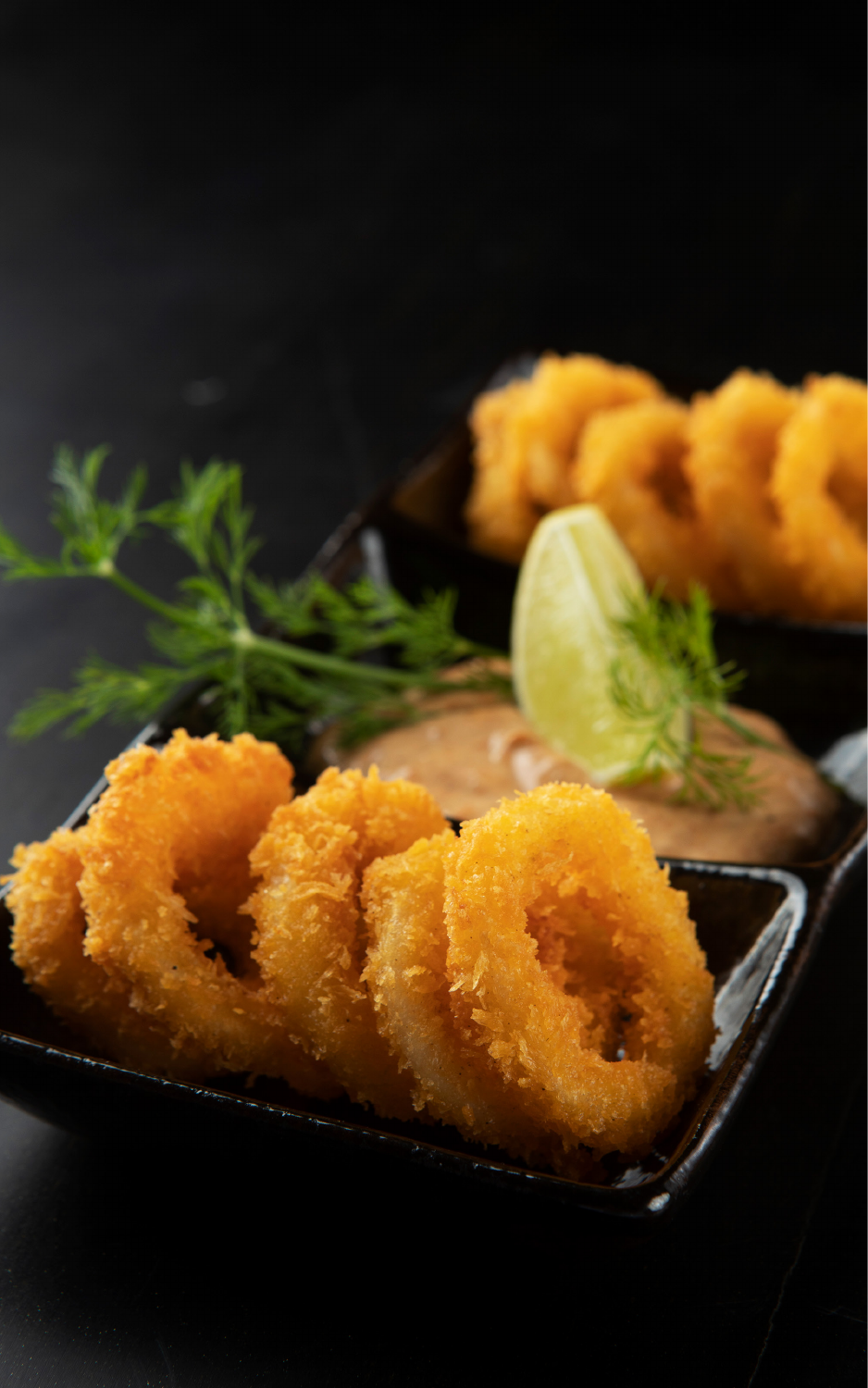